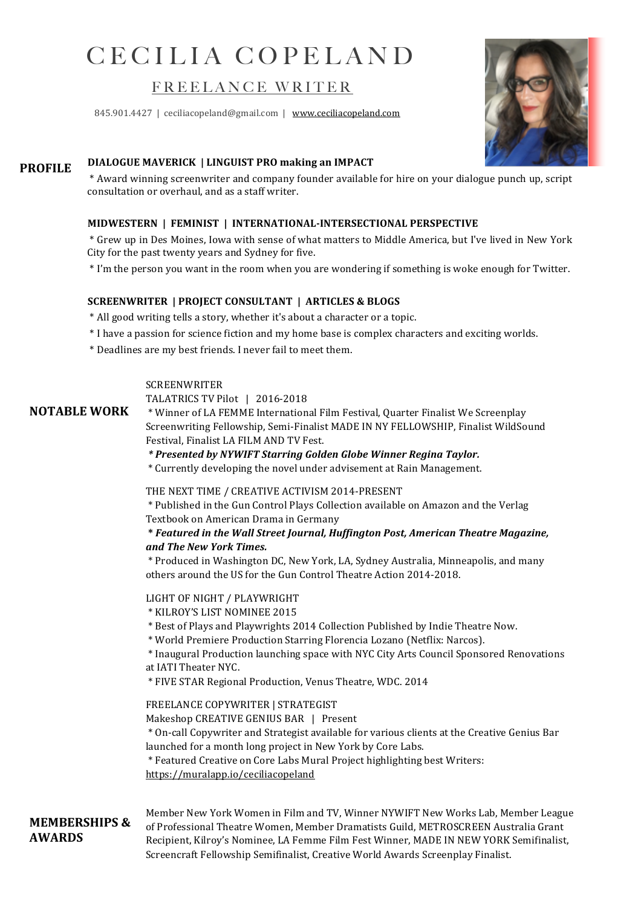# CECILIA COPELAND

## FREELANCE WRITER

845.901.4427 | ceciliacopeland@gmail.com | www.ceciliacopeland.com



## **PROFILE** DIALOGUE MAVERICK | LINGUIST PRO making an IMPACT

 \* Award winning screenwriter and company founder available for hire on your dialogue punch up, script consultation or overhaul, and as a staff writer.

#### **MIDWESTERN | FEMINIST | INTERNATIONAL-INTERSECTIONAL PERSPECTIVE**

 \* Grew up in Des Moines, Iowa with sense of what matters to Middle America, but I've lived in New York City for the past twenty years and Sydney for five.

 \* I'm the person you want in the room when you are wondering if something is woke enough for Twitter.

#### **SCREENWRITER** | PROJECT CONSULTANT | ARTICLES & BLOGS

- \* All good writing tells a story, whether it's about a character or a topic.
- \* I have a passion for science fiction and my home base is complex characters and exciting worlds.
- \* Deadlines are my best friends. I never fail to meet them.

#### **SCREENWRITER**

TALATRICS TV Pilot | 2016-2018

**NOTABLE WORK**

\* Winner of LA FEMME International Film Festival, Quarter Finalist We Screenplay Screenwriting Fellowship, Semi-Finalist MADE IN NY FELLOWSHIP, Finalist WildSound Festival, Finalist LA FILM AND TV Fest.

#### *\* Presented by NYWIFT Starring Golden Globe Winner Regina Taylor.*

\* Currently developing the novel under advisement at Rain Management.

#### THE NEXT TIME / CREATIVE ACTIVISM 2014-PRESENT

\* Published in the Gun Control Plays Collection available on Amazon and the Verlag Textbook on American Drama in Germany

#### **\*** *Featured in the Wall Street Journal, Huffington Post, American Theatre Magazine, and The New York Times.*

\* Produced in Washington DC, New York, LA, Sydney Australia, Minneapolis, and many others around the US for the Gun Control Theatre Action 2014-2018.

#### LIGHT OF NIGHT / PLAYWRIGHT

- \* KILROY'S LIST NOMINEE 2015
- \* Best of Plays and Playwrights 2014 Collection Published by Indie Theatre Now.

\* World Premiere Production Starring Florencia Lozano (Netflix: Narcos).

\* Inaugural Production launching space with NYC City Arts Council Sponsored Renovations at IATI Theater NYC.

\* FIVE STAR Regional Production, Venus Theatre, WDC. 2014

#### FREELANCE COPYWRITER | STRATEGIST

Makeshop CREATIVE GENIUS BAR | Present

\* On-call Copywriter and Strategist available for various clients at the Creative Genius Bar launched for a month long project in New York by Core Labs.

\* Featured Creative on Core Labs Mural Project highlighting best Writers:

https://muralapp.io/ceciliacopeland

### **MEMBERSHIPS & AWARDS**

Member New York Women in Film and TV, Winner NYWIFT New Works Lab, Member League of Professional Theatre Women, Member Dramatists Guild, METROSCREEN Australia Grant Recipient, Kilroy's Nominee, LA Femme Film Fest Winner, MADE IN NEW YORK Semifinalist, Screencraft Fellowship Semifinalist, Creative World Awards Screenplay Finalist.